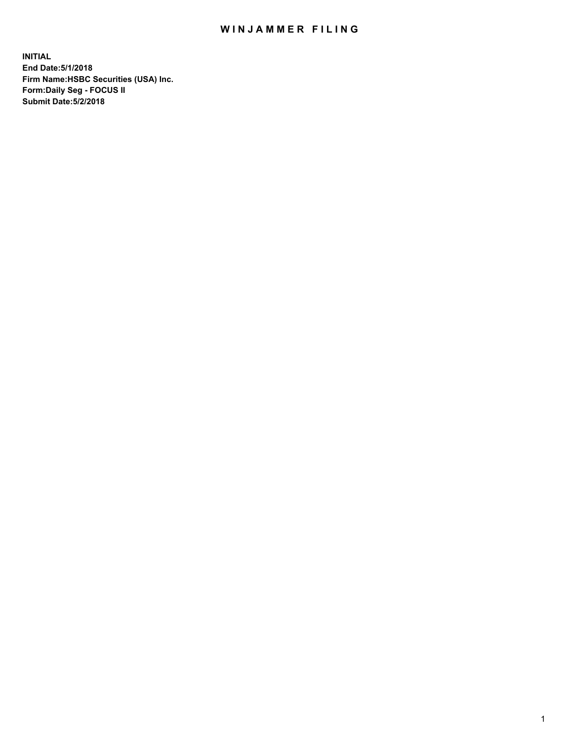## WIN JAMMER FILING

**INITIAL End Date:5/1/2018 Firm Name:HSBC Securities (USA) Inc. Form:Daily Seg - FOCUS II Submit Date:5/2/2018**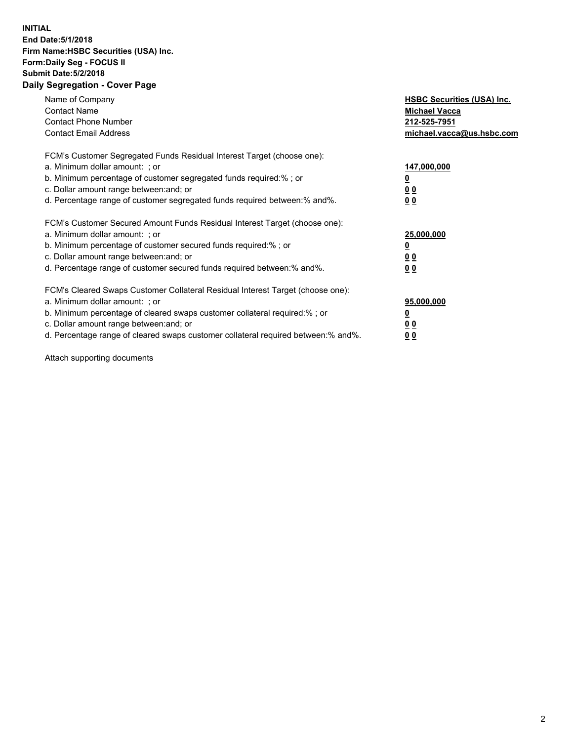## **INITIAL End Date:5/1/2018 Firm Name:HSBC Securities (USA) Inc. Form:Daily Seg - FOCUS II Submit Date:5/2/2018 Daily Segregation - Cover Page**

| Name of Company<br><b>Contact Name</b><br><b>Contact Phone Number</b><br><b>Contact Email Address</b>                                                                                                                                                                                                                          | <b>HSBC Securities (USA) Inc.</b><br><b>Michael Vacca</b><br>212-525-7951<br>michael.vacca@us.hsbc.com |
|--------------------------------------------------------------------------------------------------------------------------------------------------------------------------------------------------------------------------------------------------------------------------------------------------------------------------------|--------------------------------------------------------------------------------------------------------|
| FCM's Customer Segregated Funds Residual Interest Target (choose one):<br>a. Minimum dollar amount: ; or<br>b. Minimum percentage of customer segregated funds required:%; or<br>c. Dollar amount range between: and; or<br>d. Percentage range of customer segregated funds required between:% and%.                          | 147,000,000<br><u>0</u><br><u>00</u><br>00                                                             |
| FCM's Customer Secured Amount Funds Residual Interest Target (choose one):<br>a. Minimum dollar amount: ; or<br>b. Minimum percentage of customer secured funds required:%; or<br>c. Dollar amount range between: and; or<br>d. Percentage range of customer secured funds required between:% and%.                            | 25,000,000<br><u>0</u><br><u>00</u><br>00                                                              |
| FCM's Cleared Swaps Customer Collateral Residual Interest Target (choose one):<br>a. Minimum dollar amount: ; or<br>b. Minimum percentage of cleared swaps customer collateral required:% ; or<br>c. Dollar amount range between: and; or<br>d. Percentage range of cleared swaps customer collateral required between:% and%. | 95,000,000<br><u>0</u><br><u>00</u><br>0 <sub>0</sub>                                                  |

Attach supporting documents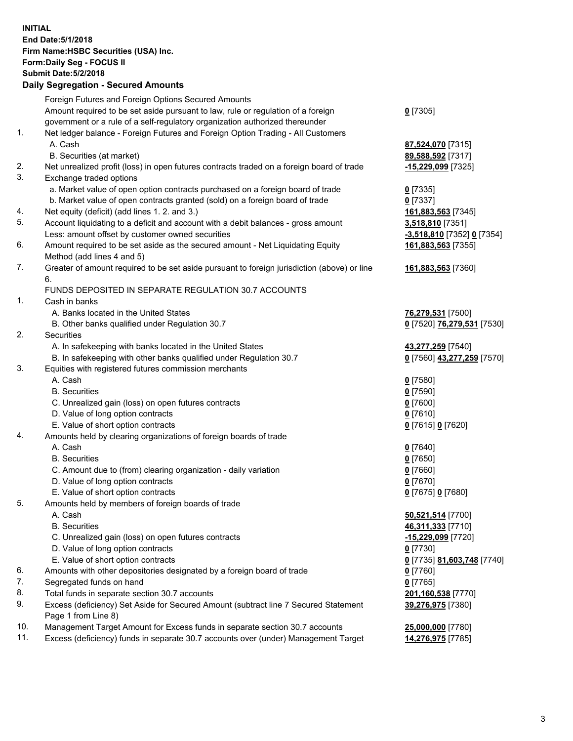**INITIAL End Date:5/1/2018 Firm Name:HSBC Securities (USA) Inc. Form:Daily Seg - FOCUS II Submit Date:5/2/2018 Daily Segregation - Secured Amounts** Foreign Futures and Foreign Options Secured Amounts Amount required to be set aside pursuant to law, rule or regulation of a foreign government or a rule of a self-regulatory organization authorized thereunder **0** [7305] 1. Net ledger balance - Foreign Futures and Foreign Option Trading - All Customers A. Cash **87,524,070** [7315] B. Securities (at market) **89,588,592** [7317] 2. Net unrealized profit (loss) in open futures contracts traded on a foreign board of trade **-15,229,099** [7325] 3. Exchange traded options a. Market value of open option contracts purchased on a foreign board of trade **0** [7335] b. Market value of open contracts granted (sold) on a foreign board of trade **0** [7337] 4. Net equity (deficit) (add lines 1. 2. and 3.) **161,883,563** [7345] 5. Account liquidating to a deficit and account with a debit balances - gross amount **3,518,810** [7351] Less: amount offset by customer owned securities **-3,518,810** [7352] **0** [7354] 6. Amount required to be set aside as the secured amount - Net Liquidating Equity Method (add lines 4 and 5) **161,883,563** [7355] 7. Greater of amount required to be set aside pursuant to foreign jurisdiction (above) or line 6. **161,883,563** [7360] FUNDS DEPOSITED IN SEPARATE REGULATION 30.7 ACCOUNTS 1. Cash in banks A. Banks located in the United States **76,279,531** [7500] B. Other banks qualified under Regulation 30.7 **0** [7520] **76,279,531** [7530] 2. Securities A. In safekeeping with banks located in the United States **43,277,259** [7540] B. In safekeeping with other banks qualified under Regulation 30.7 **0** [7560] **43,277,259** [7570] 3. Equities with registered futures commission merchants A. Cash **0** [7580] B. Securities **0** [7590] C. Unrealized gain (loss) on open futures contracts **0** [7600] D. Value of long option contracts **0** [7610] E. Value of short option contracts **0** [7615] **0** [7620] 4. Amounts held by clearing organizations of foreign boards of trade A. Cash **0** [7640] B. Securities **0** [7650] C. Amount due to (from) clearing organization - daily variation **0** [7660] D. Value of long option contracts **0** [7670] E. Value of short option contracts **0** [7675] **0** [7680] 5. Amounts held by members of foreign boards of trade A. Cash **50,521,514** [7700] B. Securities **46,311,333** [7710] C. Unrealized gain (loss) on open futures contracts **-15,229,099** [7720] D. Value of long option contracts **0** [7730] E. Value of short option contracts **0** [7735] **81,603,748** [7740] 6. Amounts with other depositories designated by a foreign board of trade **0** [7760] 7. Segregated funds on hand **0** [7765] 8. Total funds in separate section 30.7 accounts **201,160,538** [7770] 9. Excess (deficiency) Set Aside for Secured Amount (subtract line 7 Secured Statement Page 1 from Line 8) **39,276,975** [7380] 10. Management Target Amount for Excess funds in separate section 30.7 accounts **25,000,000** [7780] 11. Excess (deficiency) funds in separate 30.7 accounts over (under) Management Target **14,276,975** [7785]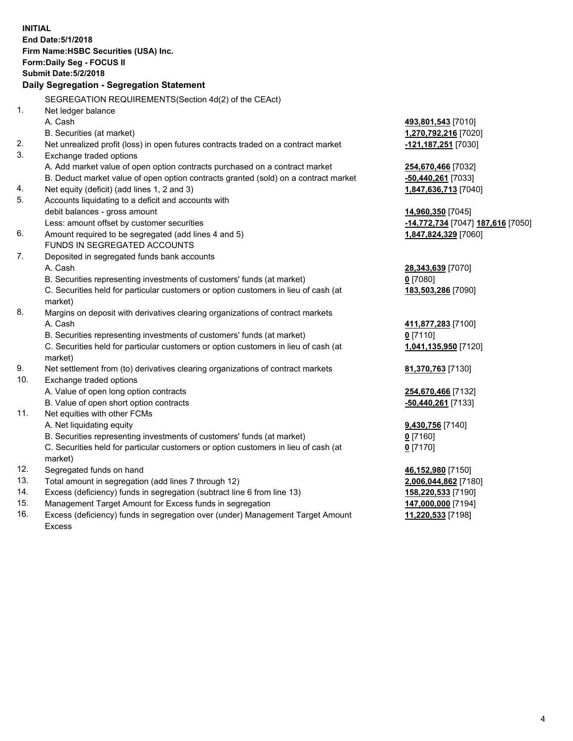| <b>INITIAL</b>                            | End Date: 5/1/2018                                                                             |                                   |  |  |  |  |
|-------------------------------------------|------------------------------------------------------------------------------------------------|-----------------------------------|--|--|--|--|
| Firm Name: HSBC Securities (USA) Inc.     |                                                                                                |                                   |  |  |  |  |
| <b>Form:Daily Seg - FOCUS II</b>          |                                                                                                |                                   |  |  |  |  |
|                                           | <b>Submit Date: 5/2/2018</b>                                                                   |                                   |  |  |  |  |
| Daily Segregation - Segregation Statement |                                                                                                |                                   |  |  |  |  |
|                                           | SEGREGATION REQUIREMENTS(Section 4d(2) of the CEAct)                                           |                                   |  |  |  |  |
| 1.                                        | Net ledger balance                                                                             |                                   |  |  |  |  |
|                                           | A. Cash                                                                                        | 493,801,543 [7010]                |  |  |  |  |
|                                           | B. Securities (at market)                                                                      | 1,270,792,216 [7020]              |  |  |  |  |
| 2.                                        | Net unrealized profit (loss) in open futures contracts traded on a contract market             | -121,187,251 [7030]               |  |  |  |  |
| 3.                                        | Exchange traded options                                                                        |                                   |  |  |  |  |
|                                           | A. Add market value of open option contracts purchased on a contract market                    | <b>254,670,466</b> [7032]         |  |  |  |  |
|                                           | B. Deduct market value of open option contracts granted (sold) on a contract market            | <u>-50,440,261</u> [7033]         |  |  |  |  |
| 4.                                        | Net equity (deficit) (add lines 1, 2 and 3)                                                    | 1,847,636,713 [7040]              |  |  |  |  |
| 5.                                        | Accounts liquidating to a deficit and accounts with                                            |                                   |  |  |  |  |
|                                           | debit balances - gross amount                                                                  | 14,960,350 [7045]                 |  |  |  |  |
|                                           | Less: amount offset by customer securities                                                     | -14,772,734 [7047] 187,616 [7050] |  |  |  |  |
| 6.                                        | Amount required to be segregated (add lines 4 and 5)                                           | 1,847,824,329 [7060]              |  |  |  |  |
|                                           | FUNDS IN SEGREGATED ACCOUNTS                                                                   |                                   |  |  |  |  |
| 7.                                        | Deposited in segregated funds bank accounts                                                    |                                   |  |  |  |  |
|                                           | A. Cash                                                                                        | 28,343,639 [7070]                 |  |  |  |  |
|                                           | B. Securities representing investments of customers' funds (at market)                         | $0$ [7080]                        |  |  |  |  |
|                                           | C. Securities held for particular customers or option customers in lieu of cash (at<br>market) | 183,503,286 [7090]                |  |  |  |  |
| 8.                                        | Margins on deposit with derivatives clearing organizations of contract markets                 |                                   |  |  |  |  |
|                                           | A. Cash                                                                                        | 411,877,283 [7100]                |  |  |  |  |
|                                           | B. Securities representing investments of customers' funds (at market)                         | $0$ [7110]                        |  |  |  |  |
|                                           | C. Securities held for particular customers or option customers in lieu of cash (at<br>market) | 1,041,135,950 [7120]              |  |  |  |  |
| 9.                                        | Net settlement from (to) derivatives clearing organizations of contract markets                | 81,370,763 [7130]                 |  |  |  |  |
| 10.                                       | Exchange traded options                                                                        |                                   |  |  |  |  |
|                                           | A. Value of open long option contracts                                                         | 254,670,466 [7132]                |  |  |  |  |
|                                           | B. Value of open short option contracts                                                        | -50,440,261 [7133]                |  |  |  |  |
| 11.                                       | Net equities with other FCMs                                                                   |                                   |  |  |  |  |
|                                           | A. Net liquidating equity                                                                      | 9,430,756 [7140]                  |  |  |  |  |
|                                           | B. Securities representing investments of customers' funds (at market)                         | 0 <sup>[7160]</sup>               |  |  |  |  |
|                                           | C. Securities held for particular customers or option customers in lieu of cash (at            | 0 <sup>[7170]</sup>               |  |  |  |  |
|                                           | market)                                                                                        |                                   |  |  |  |  |
| 12.                                       | Segregated funds on hand                                                                       | 46,152,980 [7150]                 |  |  |  |  |
| 13.                                       | Total amount in segregation (add lines 7 through 12)                                           | 2,006,044,862 [7180]              |  |  |  |  |
| 14.                                       | Excess (deficiency) funds in segregation (subtract line 6 from line 13)                        | 158,220,533 [7190]                |  |  |  |  |
| 15.                                       | Management Target Amount for Excess funds in segregation                                       | 147,000,000 [7194]                |  |  |  |  |

16. Excess (deficiency) funds in segregation over (under) Management Target Amount Excess

**11,220,533** [7198]